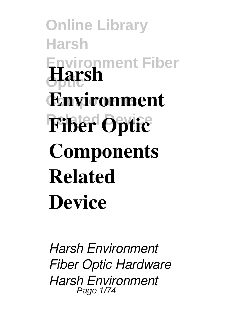**Online Library Harsh Environment Fiber Optic Harsh Components Environment Fiber Optic Components Related Device**

*Harsh Environment Fiber Optic Hardware Harsh Environment* Page 1/74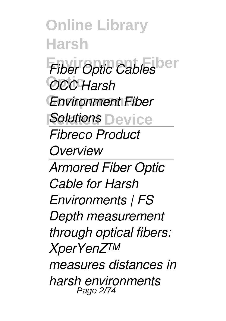**Online Library Harsh Fiber Optic Cables Optic** *OCC Harsh* **Components** *Environment Fiber* **Solutions** Device *Fibreco Product Overview Armored Fiber Optic Cable for Harsh Environments | FS Depth measurement through optical fibers: XperYenZ™ measures distances in harsh environments* Page 2/74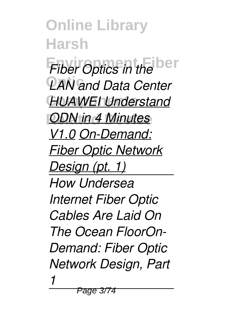**Online Library Harsh Fiber Optics in the ber Optic** *LAN and Data Center* **Components** *HUAWEI Understand ODN in 4 Minutes V1.0 On-Demand: Fiber Optic Network Design (pt. 1) How Undersea Internet Fiber Optic Cables Are Laid On The Ocean FloorOn-Demand: Fiber Optic Network Design, Part 1*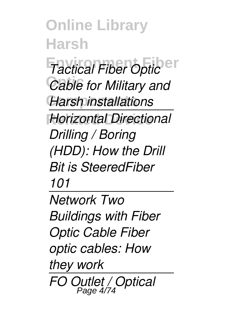**Online Library Harsh Factical Fiber Optic** Cable for Military and **Components** *Harsh installations* **Horizontal Directional** *Drilling / Boring (HDD): How the Drill Bit is SteeredFiber 101 Network Two*

*Buildings with Fiber Optic Cable Fiber optic cables: How they work FO Outlet / Optical* Page 4/74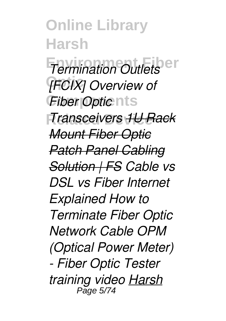**Online Library Harsh** *Termination Outlets* **Optic** *[FCIX] Overview of Fiber Optic* nts **Related Device** *Transceivers 1U Rack Mount Fiber Optic Patch Panel Cabling Solution | FS Cable vs DSL vs Fiber Internet Explained How to Terminate Fiber Optic Network Cable OPM (Optical Power Meter) - Fiber Optic Tester training video Harsh* Page 5/74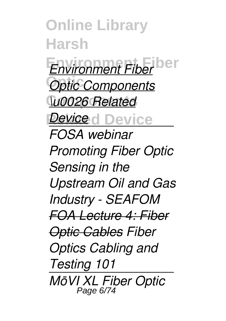**Online Library Harsh Environment Fiber** *Environment Fiber* **Optic** *Optic Components* **Components** *\u0026 Related* **Device** d Device *FOSA webinar Promoting Fiber Optic Sensing in the Upstream Oil and Gas Industry - SEAFOM FOA Lecture 4: Fiber Optic Cables Fiber Optics Cabling and Testing 101 MōVI XL Fiber Optic* Page 6/74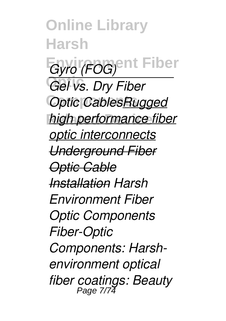**Online Library Harsh**  $G$ yro (FOG)<sup>ent</sup> Fiber **Optic** *Gel vs. Dry Fiber* **Optic CablesRugged** *high performance fiber optic interconnects Underground Fiber Optic Cable Installation Harsh Environment Fiber Optic Components Fiber-Optic Components: Harshenvironment optical fiber coatings: Beauty* Page 7/74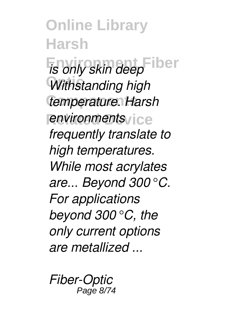**Online Library Harsh**  $\overline{E}$ *is only skin deep* Fiber Withstanding high **Components** *temperature. Harsh <u>environments</u> frequently translate to high temperatures. While most acrylates are... Beyond 300°C. For applications beyond 300°C, the only current options are metallized ...*

*Fiber-Optic* Page 8/74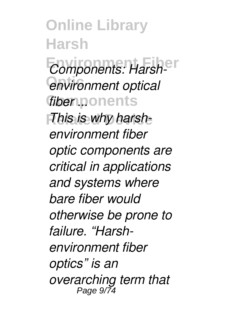**Online Library Harsh** *Components: Harsh-***Optic** *environment optical* **Components** *fiber ... This is why harshenvironment fiber optic components are critical in applications and systems where bare fiber would otherwise be prone to failure. "Harshenvironment fiber optics" is an overarching term that* Page 9/74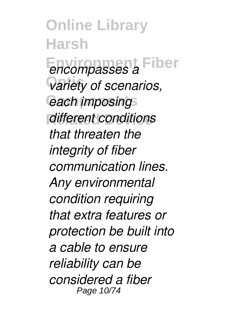**Online Library Harsh Environment Fiber** *encompasses a* **Optic** *variety of scenarios, <u>each</u> imposing* **Related Device** *different conditions that threaten the integrity of fiber communication lines. Any environmental condition requiring that extra features or protection be built into a cable to ensure reliability can be considered a fiber* Page 10/74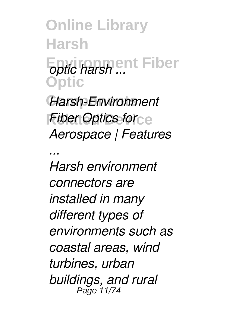**Online Library Harsh Eptic harsh ...** Fiber **Optic**

**Components** *Harsh-Environment Fiber Optics for Aerospace | Features*

*... Harsh environment connectors are installed in many different types of environments such as coastal areas, wind turbines, urban buildings, and rural* Page 11/74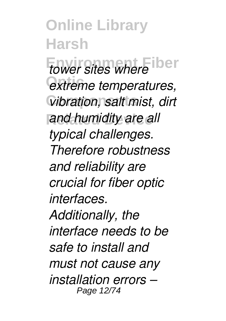**Online Library Harsh** *tower sites where* iber  $extreme$  *temperatures*,  $V$ *ibration, salt mist, dirt* and humidity are all *typical challenges. Therefore robustness and reliability are crucial for fiber optic interfaces. Additionally, the interface needs to be safe to install and must not cause any installation errors –* Page 12/74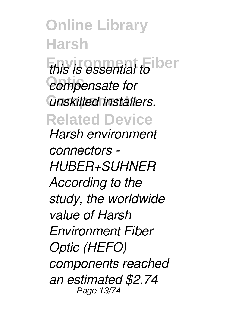**Online Library Harsh** *this is essential to* iber **Optic** *compensate for* **Components** *unskilled installers.* **Related Device** *Harsh environment connectors - HUBER+SUHNER According to the study, the worldwide value of Harsh Environment Fiber Optic (HEFO) components reached an estimated \$2.74* Page 13/74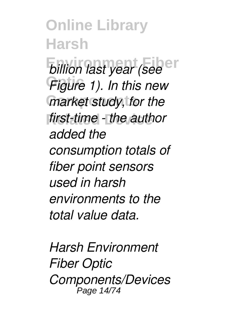**Online Library Harsh** *billion last year (see* Figure 1). In this new **Components** *market study, for the first-time - the author added the consumption totals of fiber point sensors used in harsh environments to the total value data.*

*Harsh Environment Fiber Optic Components/Devices* Page 14/74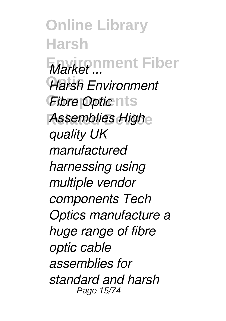**Online Library Harsh Environment Fiber** *Market ...* **Optic** *Harsh Environment Fibre Optic* nts **Assemblies High** *quality UK manufactured harnessing using multiple vendor components Tech Optics manufacture a huge range of fibre optic cable assemblies for standard and harsh* Page 15/74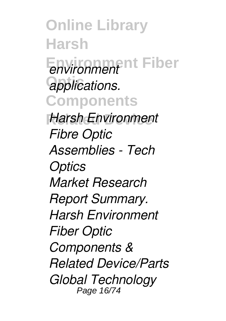**Online Library Harsh Environment Fiber** *environment*  $applications.$ **Components Harsh Environment** *Fibre Optic Assemblies - Tech Optics Market Research Report Summary. Harsh Environment Fiber Optic Components & Related Device/Parts Global Technology* Page 16/74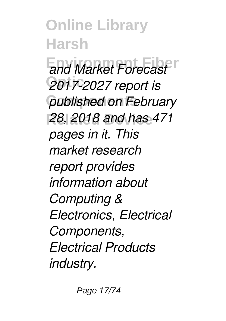**Online Library Harsh** *<u>and Market Forecast</u>* **Optic** *2017-2027 report is* **Components** *published on February* **Related Device** *28, 2018 and has 471 pages in it. This market research report provides information about Computing & Electronics, Electrical Components, Electrical Products industry.*

Page 17/74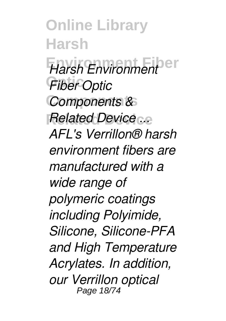**Online Library Harsh Environment Fiber** *Harsh Environment* **Optic** *Fiber Optic* **Components** *Components &* **Related Device** *Related Device ... AFL's Verrillon® harsh environment fibers are manufactured with a wide range of polymeric coatings including Polyimide, Silicone, Silicone-PFA and High Temperature Acrylates. In addition, our Verrillon optical* Page 18/74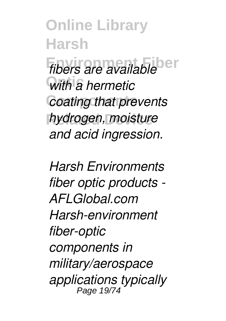**Online Library Harsh** *fibers are available* **Optic** *with a hermetic* **Coating that prevents Related Device** *hydrogen, moisture and acid ingression.*

*Harsh Environments fiber optic products - AFLGlobal.com Harsh-environment fiber-optic components in military/aerospace applications typically* Page 19/74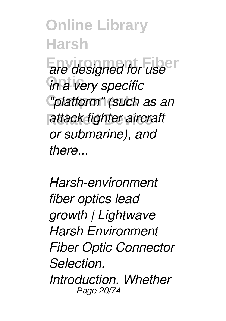**Online Library Harsh Environment Fiber** *are designed for use*  $\overline{u}$  *in a very specific* **Components** *"platform" (such as an* **Related Device** *attack fighter aircraft or submarine), and there...*

*Harsh-environment fiber optics lead growth | Lightwave Harsh Environment Fiber Optic Connector Selection. Introduction. Whether* Page 20/74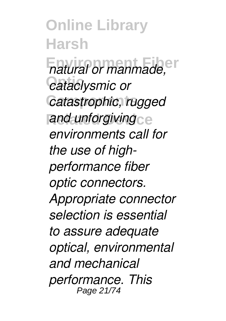**Online Library Harsh**  $F$ *natural or manmade,* **Optic** *cataclysmic or* Catastrophic, rugged and unforgiving<sub>ce</sub> *environments call for the use of highperformance fiber optic connectors. Appropriate connector selection is essential to assure adequate optical, environmental and mechanical performance. This* Page 21/74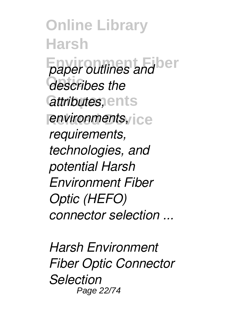**Online Library Harsh** *Faper outlines and*  $\overline{d}$ **escribes** the  $a$ *ttributes*, ents *<u>environments,</u> requirements, technologies, and potential Harsh Environment Fiber Optic (HEFO) connector selection ...*

*Harsh Environment Fiber Optic Connector Selection* Page 22/74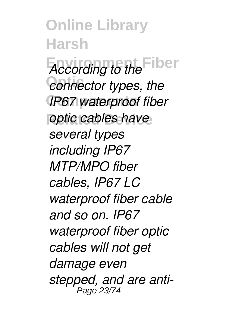**Online Library Harsh** *According to the* Fiber  $\overline{c}$ *connector types, the* **IP67 waterproof fiber** *<u>optic</u> cables have several types including IP67 MTP/MPO fiber cables, IP67 LC waterproof fiber cable and so on. IP67 waterproof fiber optic cables will not get damage even stepped, and are anti-*Page 23/74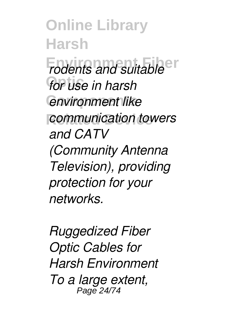**Online Library Harsh Fodents and suitable Optic** *for use in harsh <u>environment</u>* like **Related Device** *communication towers and CATV (Community Antenna Television), providing protection for your networks.*

*Ruggedized Fiber Optic Cables for Harsh Environment To a large extent,* Page 24/74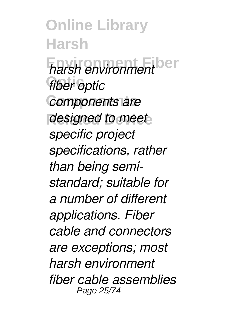**Online Library Harsh Environment Fiber** *harsh environment fiber optic* **Components** *components are* designed to meet *specific project specifications, rather than being semistandard; suitable for a number of different applications. Fiber cable and connectors are exceptions; most harsh environment fiber cable assemblies* Page 25/74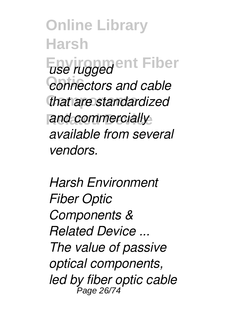**Online Library Harsh Environment Fiber** *<u></u><i>connectors and cable* **Components** *that are standardized* and commercially *available from several vendors.*

*Harsh Environment Fiber Optic Components & Related Device ... The value of passive optical components, led by fiber optic cable* Page 26/74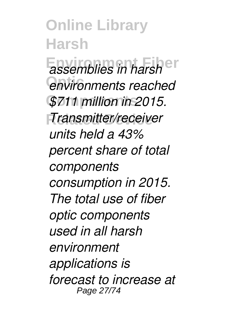**Online Library Harsh Environment Fiber** *assemblies in harsh* **Optic** *environments reached* **Components** *\$711 million in 2015.* **Related Device** *Transmitter/receiver units held a 43% percent share of total components consumption in 2015. The total use of fiber optic components used in all harsh environment applications is forecast to increase at* Page 27/74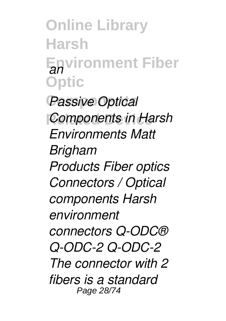**Online Library Harsh Environment Fiber** *an* **Optic**

**Passive Optical Components in Harsh** *Environments Matt Brigham Products Fiber optics Connectors / Optical components Harsh environment connectors Q-ODC® Q-ODC-2 Q-ODC-2 The connector with 2 fibers is a standard* Page 28/74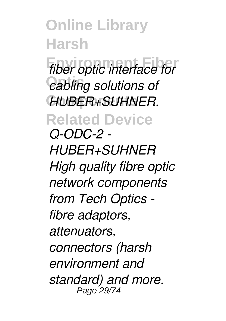**Online Library Harsh Environment Fiber** *fiber optic interface for Cabling solutions of* **Components** *HUBER+SUHNER.* **Related Device** *Q-ODC-2 - HUBER+SUHNER High quality fibre optic network components from Tech Optics fibre adaptors, attenuators, connectors (harsh environment and standard) and more.* Page 29/74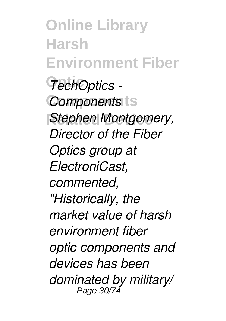**Online Library Harsh Environment Fiber Optic** *TechOptics -* **Components** *Components Stephen Montgomery, Director of the Fiber Optics group at ElectroniCast, commented, "Historically, the market value of harsh environment fiber optic components and devices has been dominated by military/* Page 30/74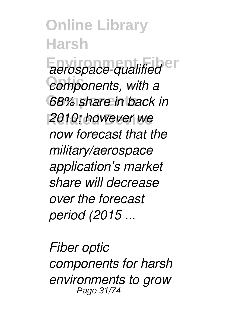**Online Library Harsh** *aerospace-qualified* en  $components$ , with a *G8% share in back in* **Related Device** *2010; however we now forecast that the military/aerospace application's market share will decrease over the forecast period (2015 ...*

*Fiber optic components for harsh environments to grow* Page 31/74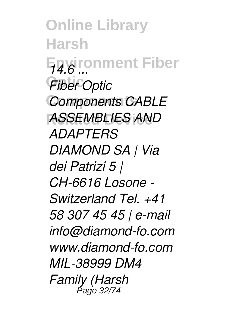**Online Library Harsh Environment Fiber** *14.6 ...* **Optic** *Fiber Optic* **Components** *Components CABLE* **Related Device** *ASSEMBLIES AND ADAPTERS DIAMOND SA | Via dei Patrizi 5 | CH-6616 Losone - Switzerland Tel. +41 58 307 45 45 | e-mail info@diamond-fo.com www.diamond-fo.com MIL-38999 DM4 Family (Harsh* Page 32/74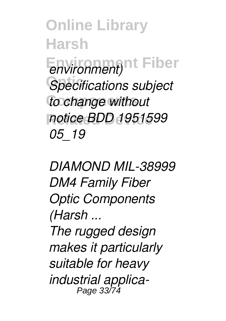**Online Library Harsh** Environment)<sup>nt</sup> Fiber **Optic** *Specifications subject* **to change without Related Device** *notice BDD 1951599 05\_19*

*DIAMOND MIL-38999 DM4 Family Fiber Optic Components (Harsh ...*

*The rugged design makes it particularly suitable for heavy industrial applica-*Page 33/74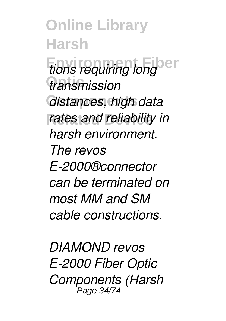**Online Library Harsh** *tions requiring long* **Optic** *transmission* **Components** *distances, high data rates and reliability in harsh environment. The revos E-2000®connector can be terminated on most MM and SM cable constructions.*

*DIAMOND revos E-2000 Fiber Optic Components (Harsh* Page 34/74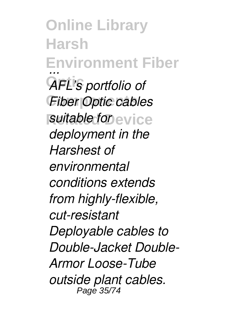**Online Library Harsh Environment Fiber** *...* **Optic** *AFL's portfolio of* **Fiber Optic cables** *suitable for* evice *deployment in the Harshest of environmental conditions extends from highly-flexible, cut-resistant Deployable cables to Double-Jacket Double-Armor Loose-Tube outside plant cables.* Page 35/74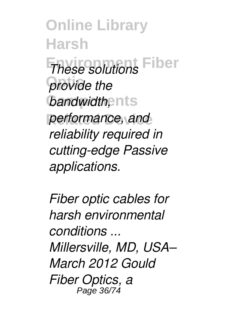**Online Library Harsh These solutions** Fiber **provide** the *bandwidth*, ents performance, and *reliability required in cutting-edge Passive applications.*

*Fiber optic cables for harsh environmental conditions ... Millersville, MD, USA– March 2012 Gould Fiber Optics, a* Page 36/74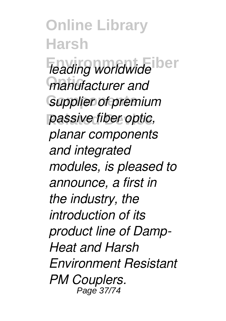**Online Library Harsh** *leading worldwide* ber **Optic** *manufacturer and* **Supplier of premium Related Device** *passive fiber optic, planar components and integrated modules, is pleased to announce, a first in the industry, the introduction of its product line of Damp-Heat and Harsh Environment Resistant PM Couplers.* Page 37/74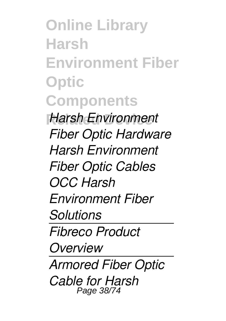**Online Library Harsh Environment Fiber Optic Components Related Device** *Harsh Environment Fiber Optic Hardware Harsh Environment Fiber Optic Cables OCC Harsh Environment Fiber Solutions Fibreco Product Overview Armored Fiber Optic Cable for Harsh* Page 38/74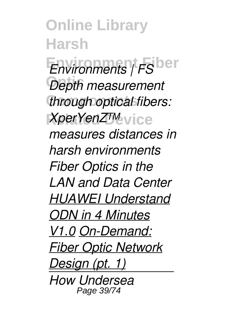**Online Library Harsh Environments** | FS<sup>ber</sup> Depth measurement **through optical fibers:**  $XperYenZTM$ <sub>Vice</sub> *measures distances in harsh environments Fiber Optics in the LAN and Data Center HUAWEI Understand ODN in 4 Minutes V1.0 On-Demand: Fiber Optic Network Design (pt. 1) How Undersea* Page 39/74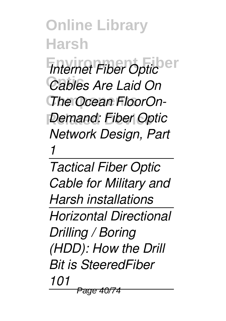**Online Library Harsh** *Internet Fiber Optic* Cables Are Laid On **The Ocean FloorOn-***Demand: Fiber Optic Network Design, Part 1*

*Tactical Fiber Optic Cable for Military and Harsh installations Horizontal Directional Drilling / Boring (HDD): How the Drill Bit is SteeredFiber 101* Page 41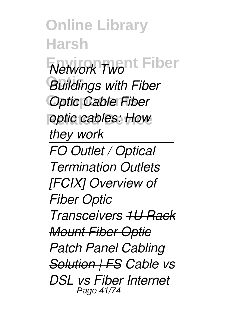**Online Library Harsh** *Network Twont Fiber* **Optic** *Buildings with Fiber* **Coptic Cable Fiber** *<u>optic</u> cables: How they work FO Outlet / Optical Termination Outlets [FCIX] Overview of Fiber Optic Transceivers 1U Rack Mount Fiber Optic Patch Panel Cabling Solution | FS Cable vs DSL vs Fiber Internet* Page 41/74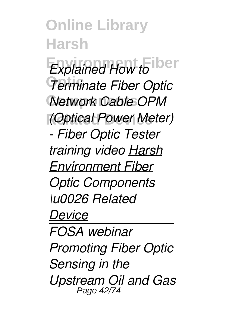**Online Library Harsh**  $Explained How to$ **Optic** *Terminate Fiber Optic Network Cable OPM* **Related Device** *(Optical Power Meter) - Fiber Optic Tester training video Harsh Environment Fiber Optic Components \u0026 Related Device FOSA webinar Promoting Fiber Optic Sensing in the Upstream Oil and Gas* Page 42/74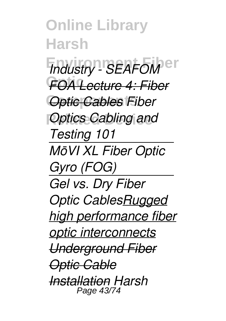**Online Library Harsh** *Industry - SEAFOM* er **Optic** *FOA Lecture 4: Fiber* **Coptic Cables Fiber** *Optics Cabling and Testing 101 MōVI XL Fiber Optic Gyro (FOG) Gel vs. Dry Fiber Optic CablesRugged high performance fiber optic interconnects Underground Fiber Optic Cable Installation Harsh* Page 43/74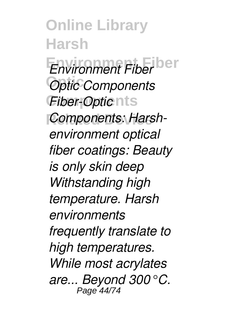**Online Library Harsh Environment Fiber** *Environment Fiber* **Optic** *Optic Components Fiber-Optic* nts **Components: Harsh***environment optical fiber coatings: Beauty is only skin deep Withstanding high temperature. Harsh environments frequently translate to high temperatures. While most acrylates are... Beyond 300°C.* Page 44/74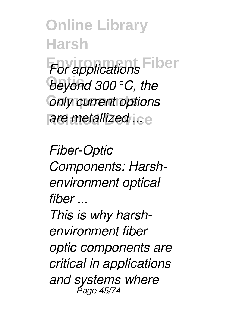**Online Library Harsh For applications Fiber Optic** *beyond 300°C, the* **Conly current options** *are metallized ice* 

*Fiber-Optic Components: Harshenvironment optical fiber ... This is why harshenvironment fiber optic components are critical in applications and systems where* Page 45/74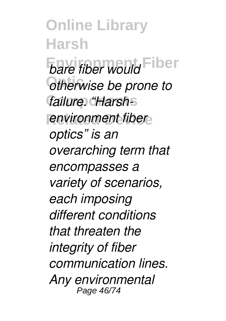**Online Library Harsh** *bare fiber would* Fiber  $o$ *dherwise be prone to* failure. "Harsh-S *<u>environment fiber</u> optics" is an overarching term that encompasses a variety of scenarios, each imposing different conditions that threaten the integrity of fiber communication lines. Any environmental* Page 46/74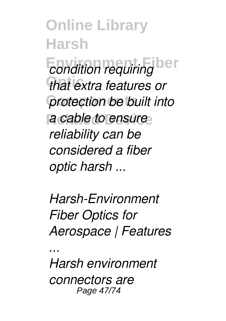**Online Library Harsh** *<u>condition</u>* requiring **ber** that extra features or **protection be built into** a cable to ensure *reliability can be considered a fiber optic harsh ...*

*Harsh-Environment Fiber Optics for Aerospace | Features*

*Harsh environment connectors are* Page 47/74

*...*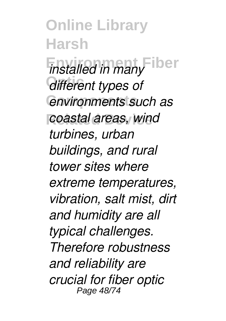**Online Library Harsh** *installed in many* lber *different types of* **Components** *environments such as coastal areas, wind turbines, urban buildings, and rural tower sites where extreme temperatures, vibration, salt mist, dirt and humidity are all typical challenges. Therefore robustness and reliability are crucial for fiber optic* Page 48/74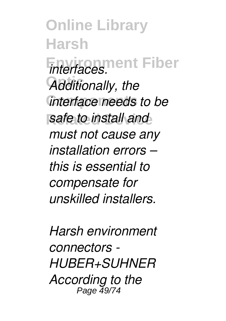**Online Library Harsh Environment Fiber** *interfaces.* **Optic** *Additionally, the interface needs to be safe to install and must not cause any installation errors – this is essential to compensate for unskilled installers.*

*Harsh environment connectors - HUBER+SUHNER According to the* Page 49/74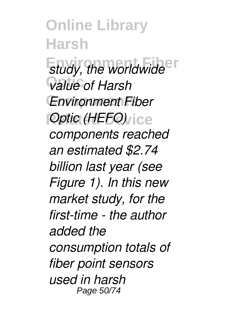**Online Library Harsh** *study, the worldwide* **Optic** *value of Harsh* **Components** *Environment Fiber Poptic (HEFO) components reached an estimated \$2.74 billion last year (see Figure 1). In this new market study, for the first-time - the author added the consumption totals of fiber point sensors used in harsh* Page 50/74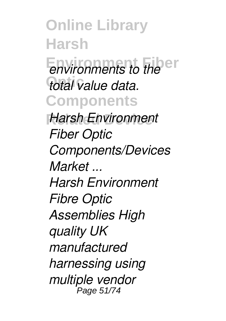**Online Library Harsh Environments to the Optic** *total value data.* **Components Harsh Environment** *Fiber Optic Components/Devices Market ... Harsh Environment Fibre Optic Assemblies High quality UK manufactured harnessing using multiple vendor* Page 51/74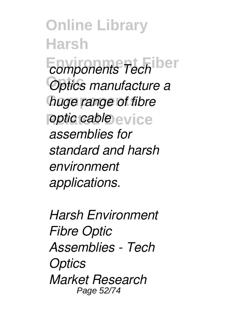**Online Library Harsh** *<u>components</u> Tech* **ber Optic** *Optics manufacture a huge range of fibre <u>optic</u> cable* evice *assemblies for standard and harsh environment applications.*

*Harsh Environment Fibre Optic Assemblies - Tech Optics Market Research* Page 52/74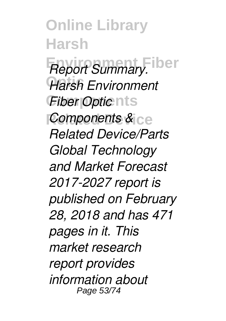**Online Library Harsh Report Summary. iber Optic** *Harsh Environment Fiber Optic* nts *Components &* ce *Related Device/Parts Global Technology and Market Forecast 2017-2027 report is published on February 28, 2018 and has 471 pages in it. This market research report provides information about* Page 53/74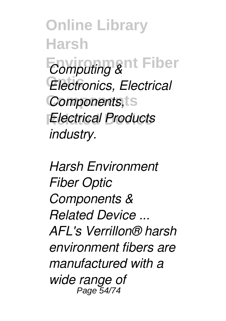**Online Library Harsh** *Computing &*nt Fiber Electronics, Electrical **Components** *Components,* **Related Device** *Electrical Products industry.*

*Harsh Environment Fiber Optic Components & Related Device ... AFL's Verrillon® harsh environment fibers are manufactured with a wide range of* Page 54/74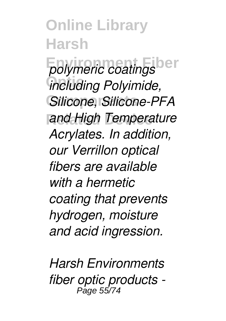**Online Library Harsh Environment Fiber** *polymeric coatings*  $\widetilde{h}$ *including Polyimide,* **Components** *Silicone, Silicone-PFA <u>and High Temperature</u> Acrylates. In addition, our Verrillon optical fibers are available with a hermetic coating that prevents hydrogen, moisture and acid ingression.*

*Harsh Environments fiber optic products -* Page 55/74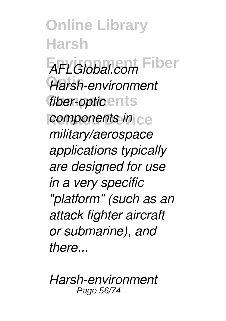**Online Library Harsh Environment Fiber** *AFLGlobal.com* **Optic** *Harsh-environment fiber-opticents components in* ce *military/aerospace applications typically are designed for use in a very specific "platform" (such as an attack fighter aircraft or submarine), and there...*

*Harsh-environment* Page 56/74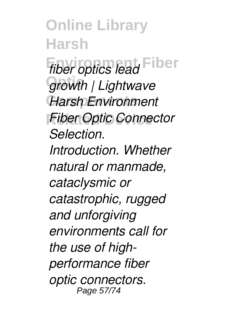**Online Library Harsh** *fiber optics lead* Fiber **Optic** *growth | Lightwave* **Components** *Harsh Environment* **Fiber Optic Connector** *Selection. Introduction. Whether natural or manmade, cataclysmic or catastrophic, rugged and unforgiving environments call for the use of highperformance fiber optic connectors.* Page 57/74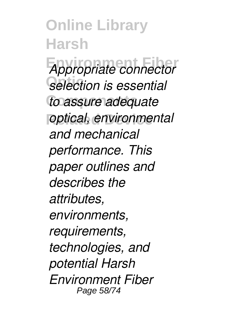**Online Library Harsh Environment Fiber** *Appropriate connector*  $s$ election is essential **Components** *to assure adequate <u>optical, environmental</u> and mechanical performance. This paper outlines and describes the attributes, environments, requirements, technologies, and potential Harsh Environment Fiber* Page 58/74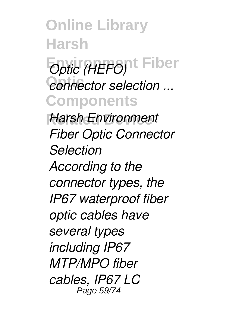**Online Library Harsh** *Optic (HEFO)***<sup>t</sup> Fiber**  $e$ <sup>onnector selection ...</sup> **Components Harsh Environment** *Fiber Optic Connector Selection According to the connector types, the IP67 waterproof fiber optic cables have several types including IP67 MTP/MPO fiber cables, IP67 LC* Page 59/74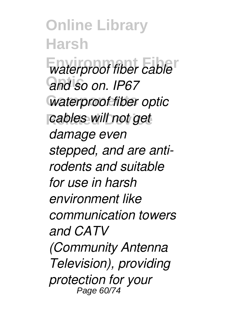**Online Library Harsh**  $\overline{\text{water}}$  proof fiber cable **Optic** *and so on. IP67* **Waterproof fiber optic Related Device** *cables will not get damage even stepped, and are antirodents and suitable for use in harsh environment like communication towers and CATV (Community Antenna Television), providing protection for your* Page 60/74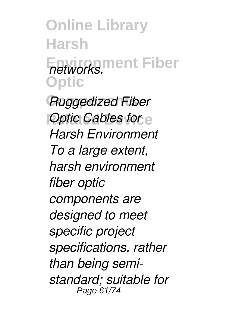**Online Library Harsh Environment Fiber** *networks.* **Optic**

**Components** *Ruggedized Fiber Poptic Cables for e Harsh Environment To a large extent, harsh environment fiber optic components are designed to meet specific project specifications, rather than being semistandard; suitable for* Page 61/74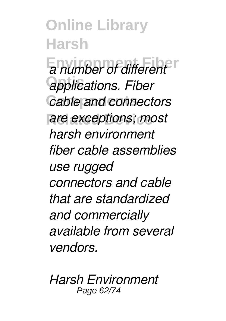**Online Library Harsh Environment Fiber** *a number of different* **Optic** *applications. Fiber* **Cable and connectors** are exceptions; most *harsh environment fiber cable assemblies use rugged connectors and cable that are standardized and commercially available from several vendors.*

*Harsh Environment* Page 62/74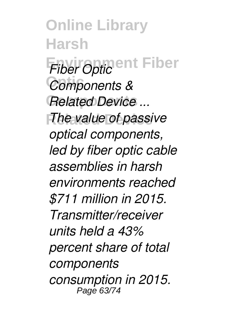**Online Library Harsh Fiber Optic** ent Fiber Components & **Related Device ... The value of passive** *optical components, led by fiber optic cable assemblies in harsh environments reached \$711 million in 2015. Transmitter/receiver units held a 43% percent share of total components consumption in 2015.* Page 63/74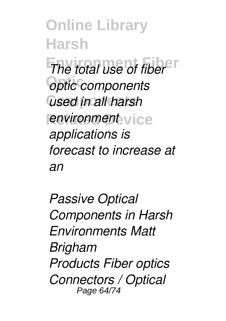**Online Library Harsh The total use of fiber Optic** *optic components* **Components** *used in all harsh <u>environment</u>* vice *applications is forecast to increase at an*

*Passive Optical Components in Harsh Environments Matt Brigham Products Fiber optics Connectors / Optical* Page 64/74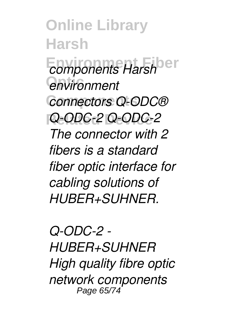**Online Library Harsh** *<u>components</u> Harsh*<sup>ber</sup> **Optic** *environment* **Components** *connectors Q-ODC®* **Related Device** *Q-ODC-2 Q-ODC-2 The connector with 2 fibers is a standard fiber optic interface for cabling solutions of HUBER+SUHNER.*

*Q-ODC-2 - HUBER+SUHNER High quality fibre optic network components* Page 65/74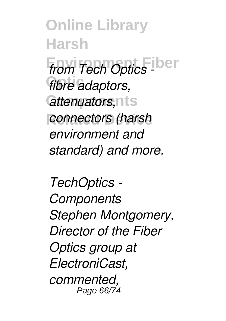**Online Library Harsh** *from Tech Optics Liber fibre* adaptors,  $a$ *ttenuators,* nts **Related Device** *connectors (harsh environment and standard) and more.*

*TechOptics - Components Stephen Montgomery, Director of the Fiber Optics group at ElectroniCast, commented,* Page 66/74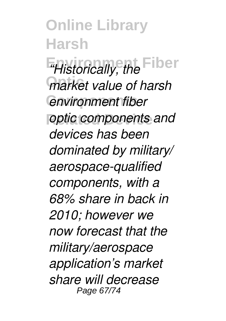**Online Library Harsh**  $H$ *istorically, the* Fiber *<u>market</u>* value of harsh  $P$ *environment fiber <u>optic</u> components and devices has been dominated by military/ aerospace-qualified components, with a 68% share in back in 2010; however we now forecast that the military/aerospace application's market share will decrease* Page 67/74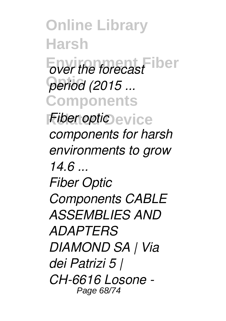**Online Library Harsh Ever the forecast Optic** *period (2015 ...* **Components** *Fiber optic* evice *components for harsh environments to grow 14.6 ... Fiber Optic Components CABLE ASSEMBLIES AND ADAPTERS DIAMOND SA | Via dei Patrizi 5 | CH-6616 Losone -* Page 68/74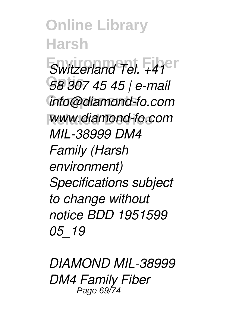**Online Library Harsh** *Switzerland Tel. +41<sup>er</sup>* **Optic** *58 307 45 45 | e-mail* **Components** *info@diamond-fo.com* **Related Device** *www.diamond-fo.com MIL-38999 DM4 Family (Harsh environment) Specifications subject to change without notice BDD 1951599 05\_19*

*DIAMOND MIL-38999 DM4 Family Fiber* Page 69/74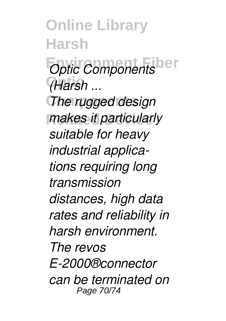**Online Library Harsh** *Optic Components* **Optic** *(Harsh ...*

**The rugged design** *makes it particularly suitable for heavy industrial applications requiring long transmission distances, high data rates and reliability in harsh environment. The revos E-2000®connector can be terminated on* Page 70/74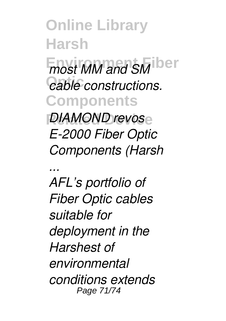**Online Library Harsh**  $m$ ost MM and SM<sup>iber</sup>  $e$ able constructions. **Components Related Device** *DIAMOND revos E-2000 Fiber Optic Components (Harsh*

*... AFL's portfolio of Fiber Optic cables suitable for deployment in the Harshest of environmental conditions extends* Page 71/74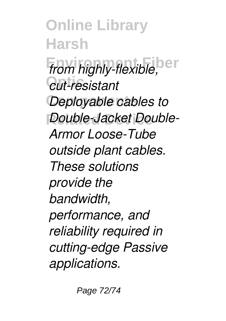**Online Library Harsh Environment Fiber** *from highly-flexible,* **Optic** *cut-resistant* **Deployable cables to** *Double-Jacket Double-Armor Loose-Tube outside plant cables. These solutions provide the bandwidth, performance, and reliability required in cutting-edge Passive applications.*

Page 72/74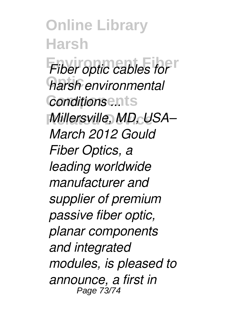**Online Library Harsh Fiber optic cables for Optic** *harsh environmental* **Components** *conditions ... Millersville, MD, USA– March 2012 Gould Fiber Optics, a leading worldwide manufacturer and supplier of premium passive fiber optic, planar components and integrated modules, is pleased to announce, a first in* Page 73/74